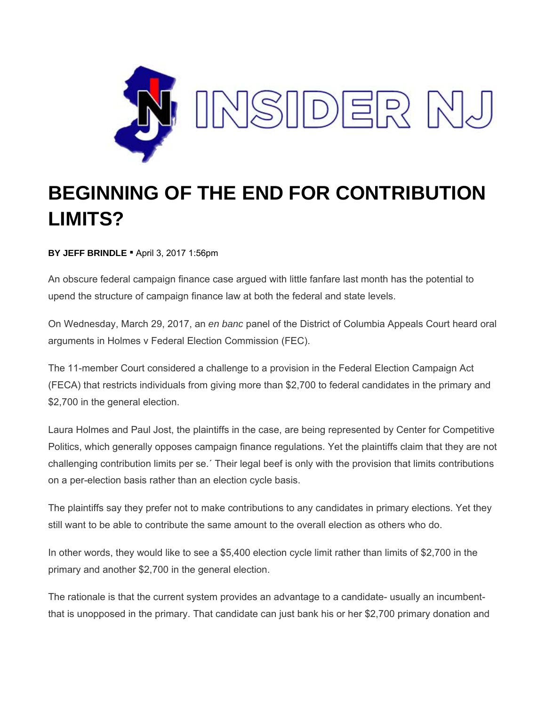

## **BEGINNING OF THE END FOR CONTRIBUTION LIMITS?**

**BY JEFF BRINDLE** ▪ April 3, 2017 1:56pm

An obscure federal campaign finance case argued with little fanfare last month has the potential to upend the structure of campaign finance law at both the federal and state levels.

On Wednesday, March 29, 2017, an *en banc* panel of the District of Columbia Appeals Court heard oral arguments in Holmes v Federal Election Commission (FEC).

The 11-member Court considered a challenge to a provision in the Federal Election Campaign Act (FECA) that restricts individuals from giving more than \$2,700 to federal candidates in the primary and \$2,700 in the general election.

Laura Holmes and Paul Jost, the plaintiffs in the case, are being represented by Center for Competitive Politics, which generally opposes campaign finance regulations. Yet the plaintiffs claim that they are not challenging contribution limits per se.´ Their legal beef is only with the provision that limits contributions on a per-election basis rather than an election cycle basis.

The plaintiffs say they prefer not to make contributions to any candidates in primary elections. Yet they still want to be able to contribute the same amount to the overall election as others who do.

In other words, they would like to see a \$5,400 election cycle limit rather than limits of \$2,700 in the primary and another \$2,700 in the general election.

The rationale is that the current system provides an advantage to a candidate- usually an incumbentthat is unopposed in the primary. That candidate can just bank his or her \$2,700 primary donation and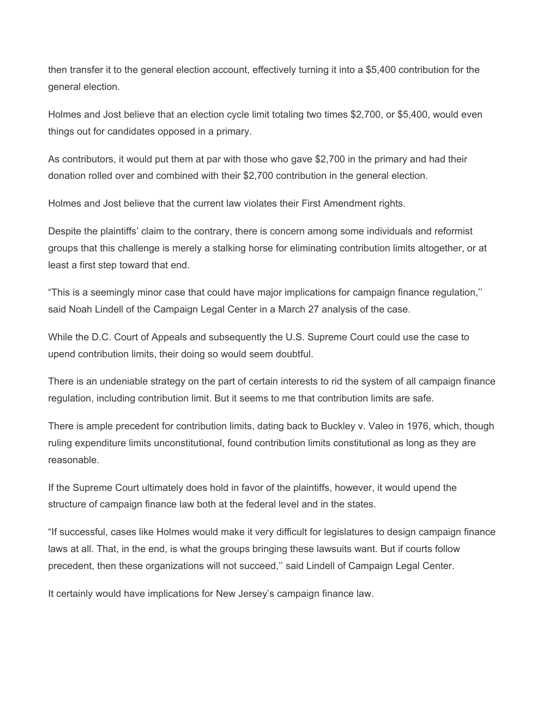then transfer it to the general election account, effectively turning it into a \$5,400 contribution for the general election.

Holmes and Jost believe that an election cycle limit totaling two times \$2,700, or \$5,400, would even things out for candidates opposed in a primary.

As contributors, it would put them at par with those who gave \$2,700 in the primary and had their donation rolled over and combined with their \$2,700 contribution in the general election.

Holmes and Jost believe that the current law violates their First Amendment rights.

Despite the plaintiffs' claim to the contrary, there is concern among some individuals and reformist groups that this challenge is merely a stalking horse for eliminating contribution limits altogether, or at least a first step toward that end.

"This is a seemingly minor case that could have major implications for campaign finance regulation,'' said Noah Lindell of the Campaign Legal Center in a March 27 analysis of the case.

While the D.C. Court of Appeals and subsequently the U.S. Supreme Court could use the case to upend contribution limits, their doing so would seem doubtful.

There is an undeniable strategy on the part of certain interests to rid the system of all campaign finance regulation, including contribution limit. But it seems to me that contribution limits are safe.

There is ample precedent for contribution limits, dating back to Buckley v. Valeo in 1976, which, though ruling expenditure limits unconstitutional, found contribution limits constitutional as long as they are reasonable.

If the Supreme Court ultimately does hold in favor of the plaintiffs, however, it would upend the structure of campaign finance law both at the federal level and in the states.

"If successful, cases like Holmes would make it very difficult for legislatures to design campaign finance laws at all. That, in the end, is what the groups bringing these lawsuits want. But if courts follow precedent, then these organizations will not succeed,'' said Lindell of Campaign Legal Center.

It certainly would have implications for New Jersey's campaign finance law.